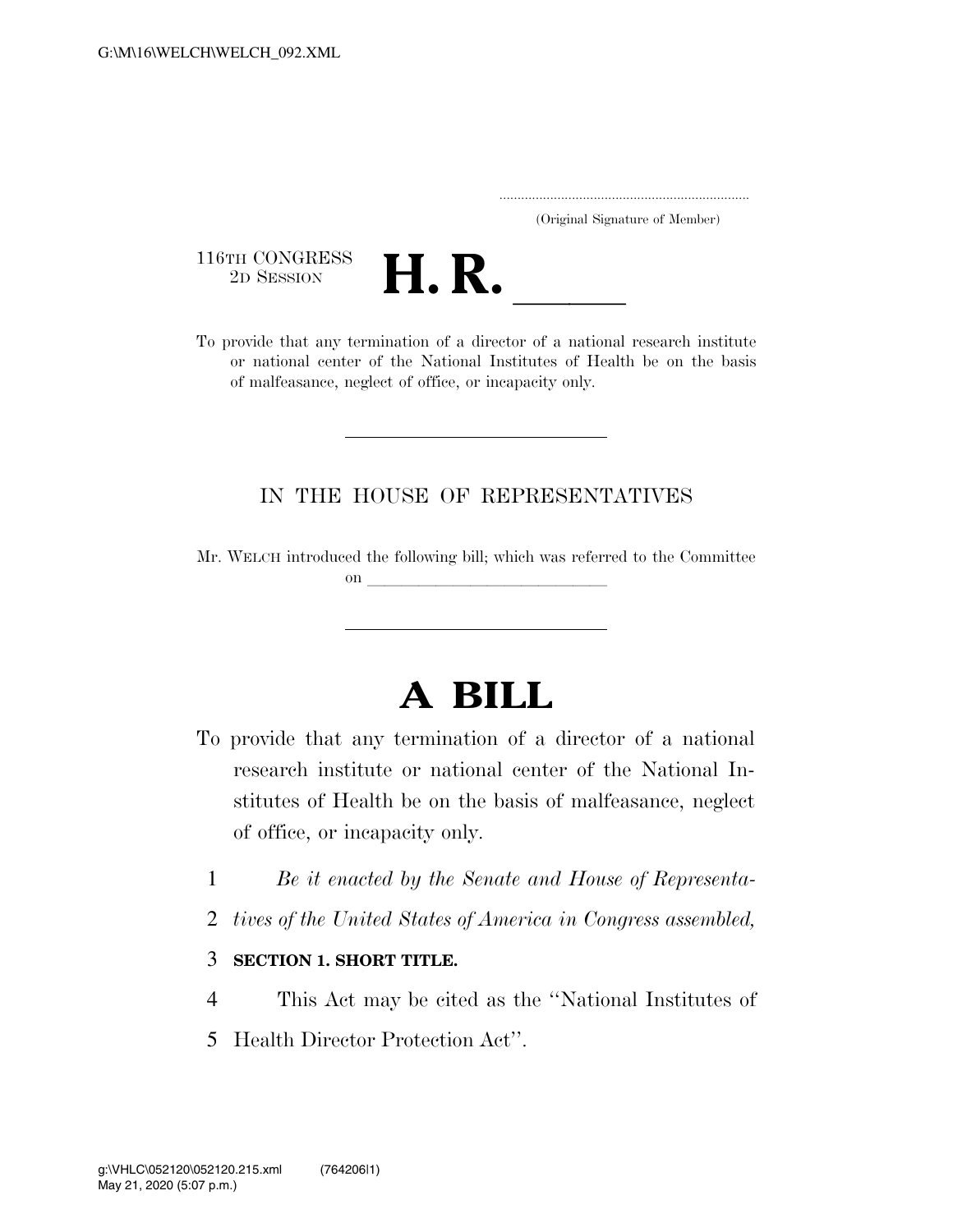..................................................................... (Original Signature of Member)

116TH CONGRESS<br>2D SESSION



116TH CONGRESS<br>
2D SESSION<br>
To provide that any termination of a director of a national research institute or national center of the National Institutes of Health be on the basis of malfeasance, neglect of office, or incapacity only.

## IN THE HOUSE OF REPRESENTATIVES

Mr. WELCH introduced the following bill; which was referred to the Committee on  $\overline{\qquad \qquad }$ 

## **A BILL**

- To provide that any termination of a director of a national research institute or national center of the National Institutes of Health be on the basis of malfeasance, neglect of office, or incapacity only.
	- 1 *Be it enacted by the Senate and House of Representa-*
	- 2 *tives of the United States of America in Congress assembled,*

## 3 **SECTION 1. SHORT TITLE.**

- 4 This Act may be cited as the ''National Institutes of
- 5 Health Director Protection Act''.